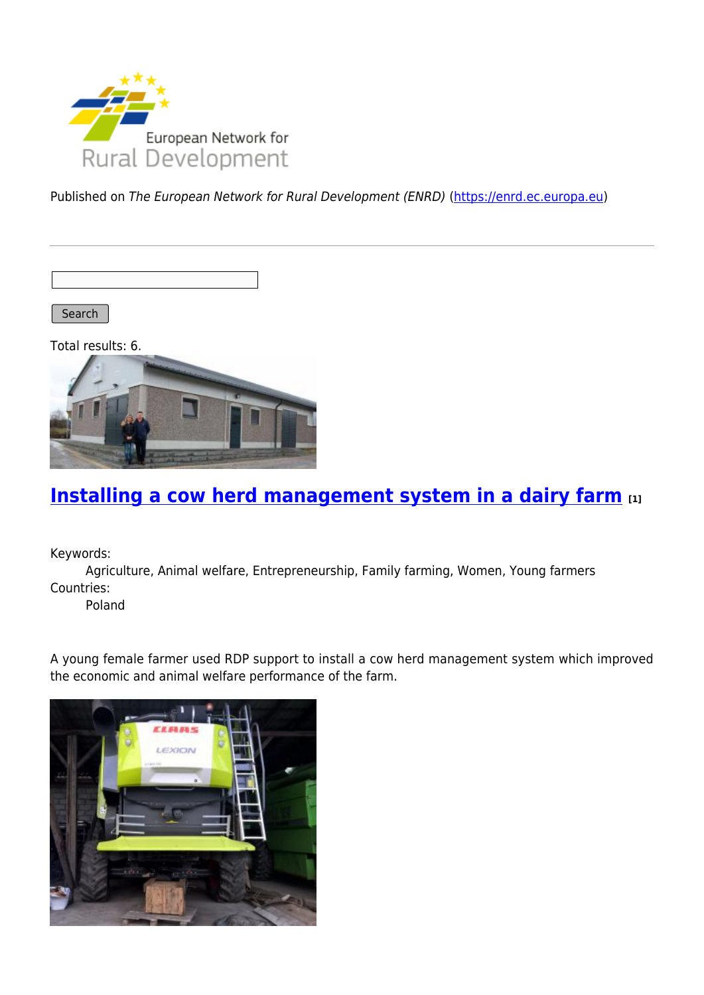

Published on The European Network for Rural Development (ENRD) [\(https://enrd.ec.europa.eu](https://enrd.ec.europa.eu))

Search |

Total results: 6.



#### **[Installing a cow herd management system in a dairy farm](https://enrd.ec.europa.eu/projects-practice/installing-cow-herd-management-system-dairy-farm_en) [1]**

Keywords:

Agriculture, Animal welfare, Entrepreneurship, Family farming, Women, Young farmers Countries:

Poland

A young female farmer used RDP support to install a cow herd management system which improved the economic and animal welfare performance of the farm.

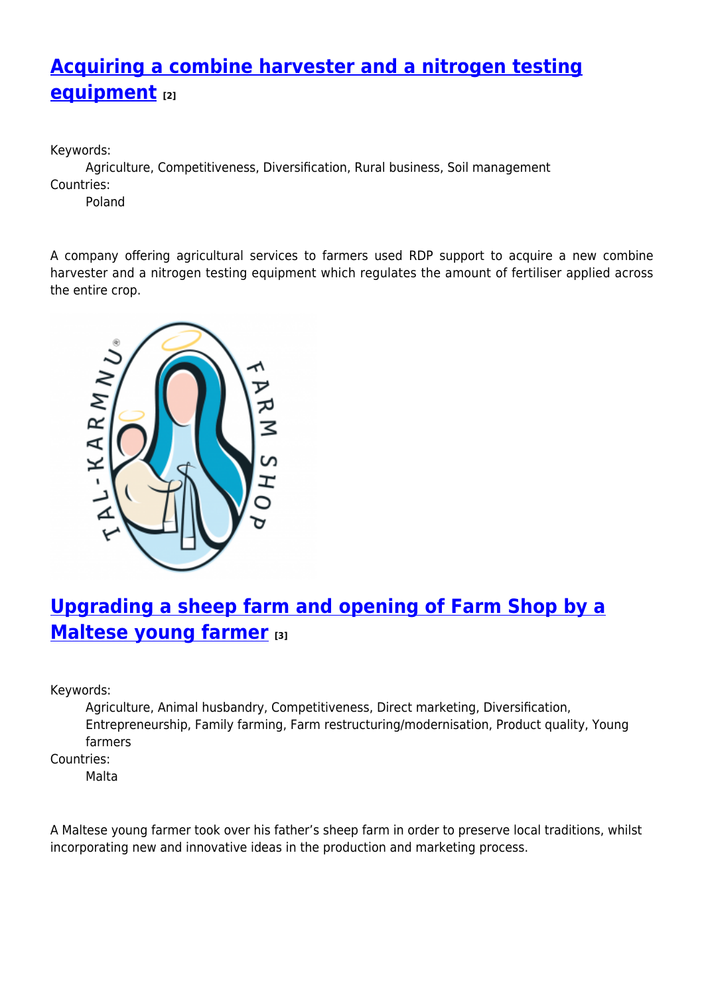## **[Acquiring a combine harvester and a nitrogen testing](https://enrd.ec.europa.eu/projects-practice/acquiring-combine-harvester-and-nitrogen-testing-equipment_en) [equipment](https://enrd.ec.europa.eu/projects-practice/acquiring-combine-harvester-and-nitrogen-testing-equipment_en) [2]**

Keywords:

Agriculture, Competitiveness, Diversification, Rural business, Soil management Countries:

Poland

A company offering agricultural services to farmers used RDP support to acquire a new combine harvester and a nitrogen testing equipment which regulates the amount of fertiliser applied across the entire crop.



# **[Upgrading a sheep farm and opening of Farm Shop by a](https://enrd.ec.europa.eu/projects-practice/upgrading-sheep-farm-and-opening-farm-shop-maltese-young-farmer_en) [Maltese young farmer](https://enrd.ec.europa.eu/projects-practice/upgrading-sheep-farm-and-opening-farm-shop-maltese-young-farmer_en) [3]**

Keywords:

Agriculture, Animal husbandry, Competitiveness, Direct marketing, Diversification, Entrepreneurship, Family farming, Farm restructuring/modernisation, Product quality, Young farmers

Countries:

Malta

A Maltese young farmer took over his father's sheep farm in order to preserve local traditions, whilst incorporating new and innovative ideas in the production and marketing process.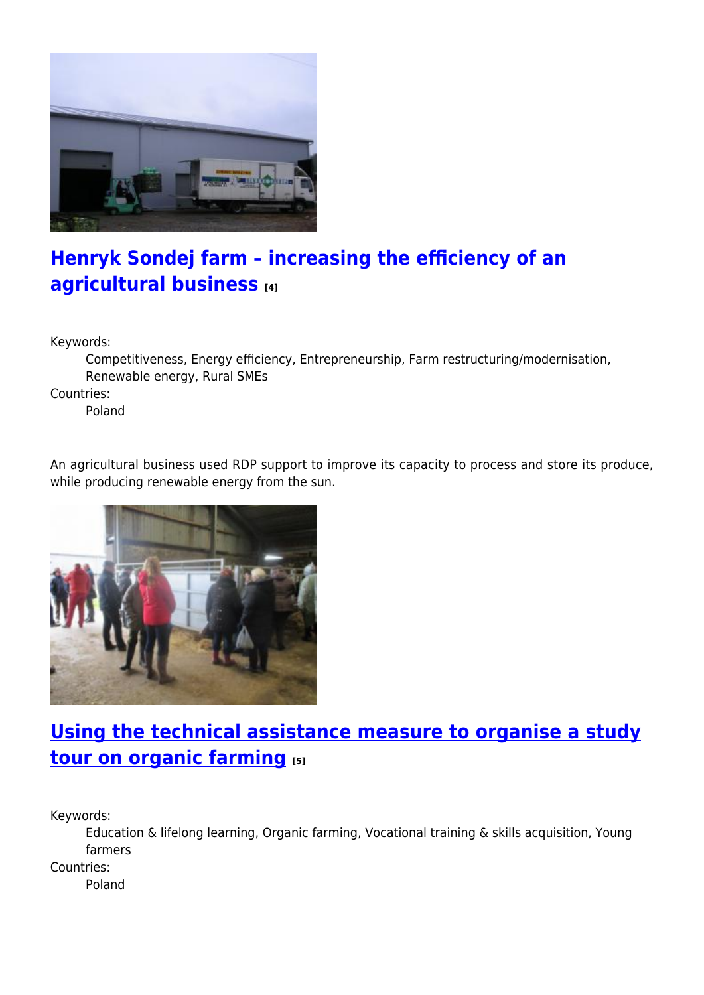

## **[Henryk Sondej farm – increasing the efficiency of an](https://enrd.ec.europa.eu/projects-practice/henryk-sondej-farm-increasing-efficiency-agricultural-business_en) [agricultural business](https://enrd.ec.europa.eu/projects-practice/henryk-sondej-farm-increasing-efficiency-agricultural-business_en) [4]**

Keywords:

Competitiveness, Energy efficiency, Entrepreneurship, Farm restructuring/modernisation, Renewable energy, Rural SMEs

Countries:

Poland

An agricultural business used RDP support to improve its capacity to process and store its produce, while producing renewable energy from the sun.



### **[Using the technical assistance measure to organise a study](https://enrd.ec.europa.eu/projects-practice/using-technical-assistance-measure-organise-study-tour-organic-farming_en) [tour on organic farming](https://enrd.ec.europa.eu/projects-practice/using-technical-assistance-measure-organise-study-tour-organic-farming_en) [5]**

Keywords:

Education & lifelong learning, Organic farming, Vocational training & skills acquisition, Young farmers

Countries:

Poland